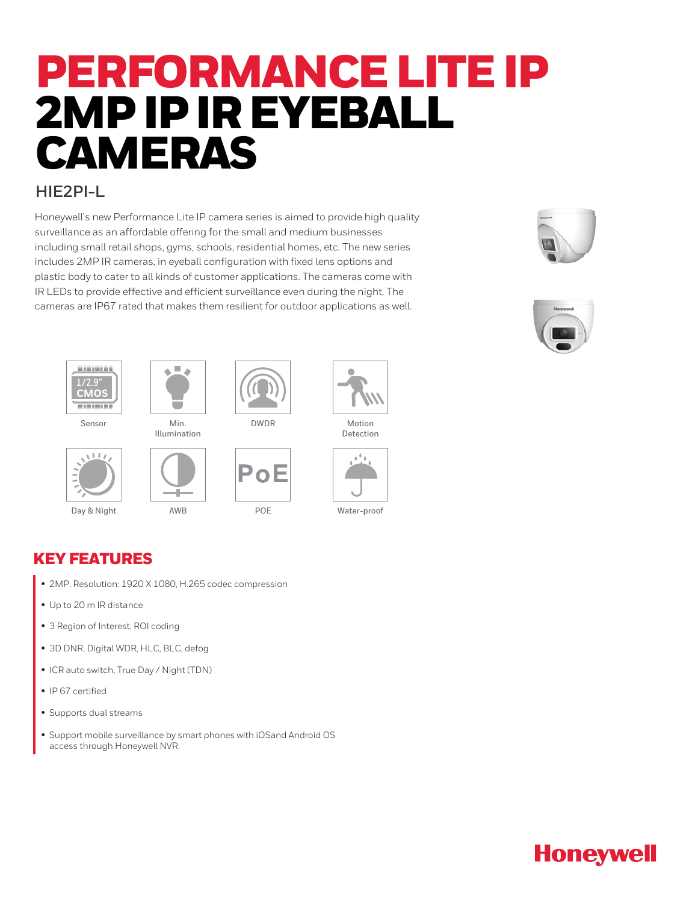# PERFORMANCE LITE IP 2MP IP IR EYEBALL CAMERAS

#### **HIE2PI-L**

Honeywell's new Performance Lite IP camera series is aimed to provide high quality surveillance as an affordable offering for the small and medium businesses including small retail shops, gyms, schools, residential homes, etc. The new series includes 2MP IR cameras, in eyeball configuration with fixed lens options and plastic body to cater to all kinds of customer applications. The cameras come with IR LEDs to provide effective and efficient surveillance even during the night. The cameras are IP67 rated that makes them resilient for outdoor applications as well.









Illumination





AWB







Motion Detection



KEY FEATURES

- 2MP, Resolution: 1920 X 1080, H.265 codec compression
- Up to 20 m IR distance
- 3 Region of Interest, ROI coding
- 3D DNR, Digital WDR, HLC, BLC, defog
- ICR auto switch, True Day / Night (TDN)
- IP 67 certified
- Supports dual streams
- Support mobile surveillance by smart phones with iOSand Android OS access through Honeywell NVR.

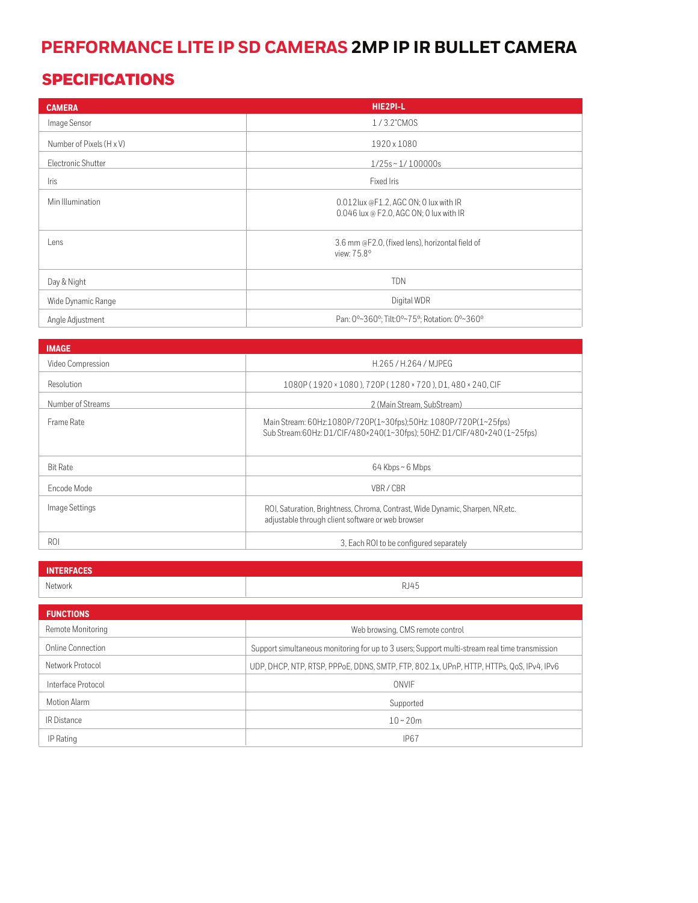## **PERFORMANCE LITE IP SD CAMERAS 2MP IP IR BULLET CAMERA**

### SPECIFICATIONS

| <b>CAMERA</b>            | HIE2PI-L                                                                         |
|--------------------------|----------------------------------------------------------------------------------|
| Image Sensor             | 1/3.2"CMOS                                                                       |
| Number of Pixels (H x V) | 1920 x 1080                                                                      |
| Electronic Shutter       | $1/25s \sim 1/100000s$                                                           |
| Iris                     | Fixed Iris                                                                       |
| Min Illumination         | 0.012lux @F1.2, AGC ON; 0 lux with IR<br>0.046 lux @ F2.0, AGC ON; 0 lux with IR |
| Lens                     | 3.6 mm @F2.0, (fixed lens), horizontal field of<br>view: 75.8°                   |
| Day & Night              | <b>TDN</b>                                                                       |
| Wide Dynamic Range       | Digital WDR                                                                      |
| Angle Adjustment         | Pan: 0°~360°; Tilt:0°~75°; Rotation: 0°~360°                                     |

| <b>IMAGE</b>      |                                                                                                                                             |
|-------------------|---------------------------------------------------------------------------------------------------------------------------------------------|
| Video Compression | H.265/H.264/MJPEG                                                                                                                           |
| Resolution        | 1080P (1920 × 1080), 720P (1280 × 720), D1, 480 × 240, CIF                                                                                  |
| Number of Streams | 2 (Main Stream, SubStream)                                                                                                                  |
| Frame Rate        | Main Stream: 60Hz:1080P/720P(1~30fps);50Hz: 1080P/720P(1~25fps)<br>Sub Stream:60Hz: D1/CIF/480×240(1~30fps); 50HZ: D1/CIF/480×240 (1~25fps) |
| <b>Bit Rate</b>   | 64 Kbps ~ 6 Mbps                                                                                                                            |
| Fncode Mode       | VBR/CBR                                                                                                                                     |
| Image Settings    | ROI, Saturation, Brightness, Chroma, Contrast, Wide Dynamic, Sharpen, NR, etc.<br>adjustable through client software or web browser         |
| ROI               | 3. Each ROI to be configured separately                                                                                                     |

| <b>INTERFACES</b>  |                                                                                                |
|--------------------|------------------------------------------------------------------------------------------------|
| Network            | RJ45                                                                                           |
|                    |                                                                                                |
| <b>FUNCTIONS</b>   |                                                                                                |
| Remote Monitoring  | Web browsing, CMS remote control                                                               |
| Online Connection  | Support simultaneous monitoring for up to 3 users; Support multi-stream real time transmission |
| Network Protocol   | UDP, DHCP, NTP, RTSP, PPPoE, DDNS, SMTP, FTP, 802.1x, UPnP, HTTP, HTTPs, QoS, IPv4, IPv6       |
| Interface Protocol | ONVIF                                                                                          |
| Motion Alarm       | Supported                                                                                      |
| <b>IR Distance</b> | $10 - 20m$                                                                                     |
| IP Rating          | <b>IP67</b>                                                                                    |